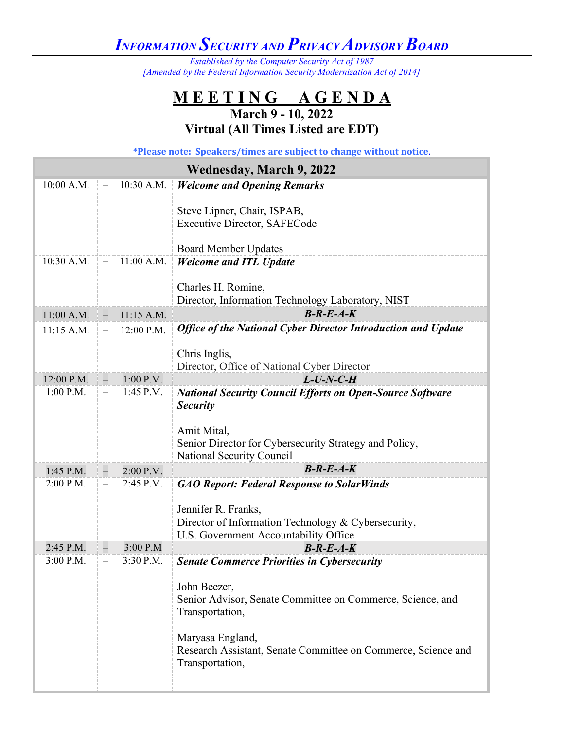## *INFORMATION SECURITY AND PRIVACY ADVISORY BOARD*

*Established by the Computer Security Act of 1987 [Amended by the Federal Information Security Modernization Act of 2014]*

## **M E E T I N G A G E N D A**

## **March 9 - 10, 2022 Virtual (All Times Listed are EDT)**

**\*Please note: Speakers/times are subject to change without notice**.

| <b>Wednesday, March 9, 2022</b> |                          |              |                                                                         |  |  |
|---------------------------------|--------------------------|--------------|-------------------------------------------------------------------------|--|--|
| 10:00 A.M.                      | $-$                      | 10:30 A.M.   | <b>Welcome and Opening Remarks</b>                                      |  |  |
|                                 |                          |              |                                                                         |  |  |
|                                 |                          |              | Steve Lipner, Chair, ISPAB,<br><b>Executive Director, SAFECode</b>      |  |  |
|                                 |                          |              |                                                                         |  |  |
|                                 |                          |              | <b>Board Member Updates</b>                                             |  |  |
| 10:30 A.M.                      | $\equiv$                 | $11:00$ A.M. | <b>Welcome and ITL Update</b>                                           |  |  |
|                                 |                          |              |                                                                         |  |  |
|                                 |                          |              | Charles H. Romine,<br>Director, Information Technology Laboratory, NIST |  |  |
|                                 |                          | 11:15 A.M.   | $B-R-E-A-K$                                                             |  |  |
| 11:00 A.M.                      |                          |              | <b>Office of the National Cyber Director Introduction and Update</b>    |  |  |
| $11:15$ A.M.                    |                          | 12:00 P.M.   |                                                                         |  |  |
|                                 |                          |              | Chris Inglis,                                                           |  |  |
|                                 |                          |              | Director, Office of National Cyber Director                             |  |  |
| 12:00 P.M.                      |                          | 1:00 P.M.    | $L$ -U-N-C-H                                                            |  |  |
| $1:00$ P.M.                     | $\overline{\phantom{0}}$ | 1:45 P.M.    | <b>National Security Council Efforts on Open-Source Software</b>        |  |  |
|                                 |                          |              | <b>Security</b>                                                         |  |  |
|                                 |                          |              |                                                                         |  |  |
|                                 |                          |              | Amit Mital,<br>Senior Director for Cybersecurity Strategy and Policy,   |  |  |
|                                 |                          |              | National Security Council                                               |  |  |
| 1:45 P.M.                       | н                        | 2:00 P.M.    | $B-R-E-A-K$                                                             |  |  |
| 2:00 P.M.                       |                          | 2:45 P.M.    | <b>GAO Report: Federal Response to SolarWinds</b>                       |  |  |
|                                 |                          |              |                                                                         |  |  |
|                                 |                          |              | Jennifer R. Franks,                                                     |  |  |
|                                 |                          |              | Director of Information Technology & Cybersecurity,                     |  |  |
| 2:45 P.M.                       | н                        | 3:00 P.M     | U.S. Government Accountability Office<br>$B-R-E-A-K$                    |  |  |
| 3:00 P.M.                       | $\equiv$                 | 3:30 P.M.    | <b>Senate Commerce Priorities in Cybersecurity</b>                      |  |  |
|                                 |                          |              |                                                                         |  |  |
|                                 |                          |              | John Beezer,                                                            |  |  |
|                                 |                          |              | Senior Advisor, Senate Committee on Commerce, Science, and              |  |  |
|                                 |                          |              | Transportation,                                                         |  |  |
|                                 |                          |              | Maryasa England,                                                        |  |  |
|                                 |                          |              | Research Assistant, Senate Committee on Commerce, Science and           |  |  |
|                                 |                          |              | Transportation,                                                         |  |  |
|                                 |                          |              |                                                                         |  |  |
|                                 |                          |              |                                                                         |  |  |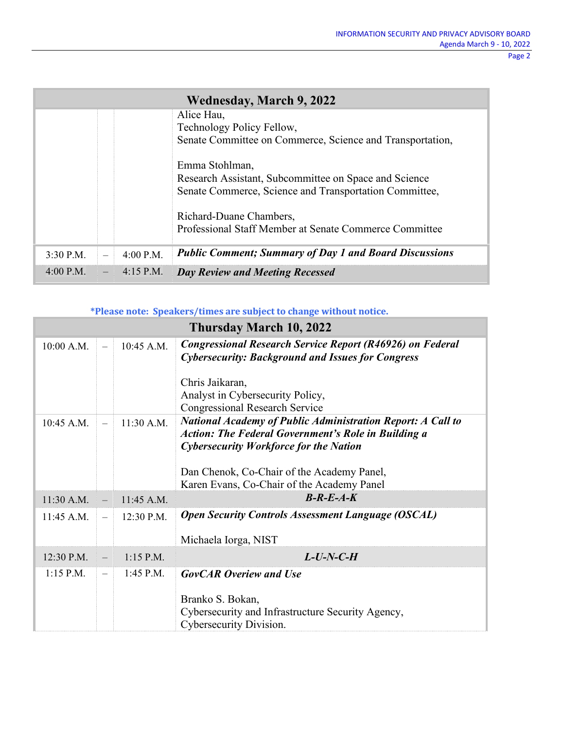| <b>Wednesday, March 9, 2022</b> |  |             |                                                                                                                 |  |  |
|---------------------------------|--|-------------|-----------------------------------------------------------------------------------------------------------------|--|--|
|                                 |  |             | Alice Hau,<br>Technology Policy Fellow,                                                                         |  |  |
|                                 |  |             | Senate Committee on Commerce, Science and Transportation,                                                       |  |  |
|                                 |  |             | Emma Stohlman,                                                                                                  |  |  |
|                                 |  |             | Research Assistant, Subcommittee on Space and Science<br>Senate Commerce, Science and Transportation Committee, |  |  |
|                                 |  |             | Richard-Duane Chambers,<br>Professional Staff Member at Senate Commerce Committee                               |  |  |
| $3:30$ P.M.                     |  | 4:00 P.M.   | <b>Public Comment; Summary of Day 1 and Board Discussions</b>                                                   |  |  |
| $4:00$ P.M.                     |  | $4:15$ P.M. | Day Review and Meeting Recessed                                                                                 |  |  |

## **\*Please note: Speakers/times are subject to change without notice.**

| Thursday March 10, 2022 |                          |              |                                                                                                                                                                                   |  |
|-------------------------|--------------------------|--------------|-----------------------------------------------------------------------------------------------------------------------------------------------------------------------------------|--|
| 10:00 A.M.              | $\overline{\phantom{0}}$ | $10:45$ A.M. | <b>Congressional Research Service Report (R46926) on Federal</b><br><b>Cybersecurity: Background and Issues for Congress</b>                                                      |  |
|                         |                          |              | Chris Jaikaran,                                                                                                                                                                   |  |
|                         |                          |              | Analyst in Cybersecurity Policy,                                                                                                                                                  |  |
|                         |                          |              | <b>Congressional Research Service</b>                                                                                                                                             |  |
| $10:45$ A.M.            | $\overline{\phantom{0}}$ | 11:30 A.M.   | <b>National Academy of Public Administration Report: A Call to</b><br><b>Action: The Federal Government's Role in Building a</b><br><b>Cybersecurity Workforce for the Nation</b> |  |
|                         |                          |              | Dan Chenok, Co-Chair of the Academy Panel,<br>Karen Evans, Co-Chair of the Academy Panel                                                                                          |  |
| 11:30 A.M.              |                          | $11:45$ A.M. | $R-R-E-A-K$                                                                                                                                                                       |  |
| $11:45$ A.M.            | $\overline{\phantom{0}}$ | 12:30 P.M.   | <b>Open Security Controls Assessment Language (OSCAL)</b>                                                                                                                         |  |
|                         |                          |              | Michaela Iorga, NIST                                                                                                                                                              |  |
| $12:30$ P.M.            |                          | $1:15$ P.M.  | $L$ -U-N-C-H                                                                                                                                                                      |  |
| $1:15$ P.M.             | $\overline{\phantom{0}}$ | $1:45$ P.M.  | <b>GovCAR Overiew and Use</b><br>Branko S. Bokan,                                                                                                                                 |  |
|                         |                          |              | Cybersecurity and Infrastructure Security Agency,<br>Cybersecurity Division.                                                                                                      |  |